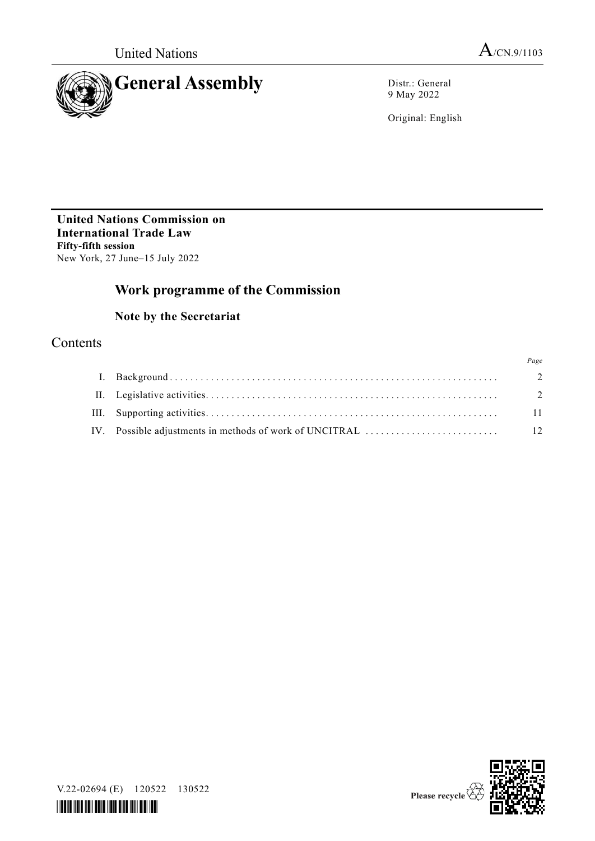

9 May 2022

Original: English

**United Nations Commission on International Trade Law Fifty-fifth session** New York, 27 June–15 July 2022

# **Work programme of the Commission**

## **Note by the Secretariat**

## Contents

|                                                         | Page           |
|---------------------------------------------------------|----------------|
|                                                         | $\overline{2}$ |
|                                                         | $\overline{2}$ |
|                                                         | 11             |
| IV. Possible adjustments in methods of work of UNCITRAL | - 12           |





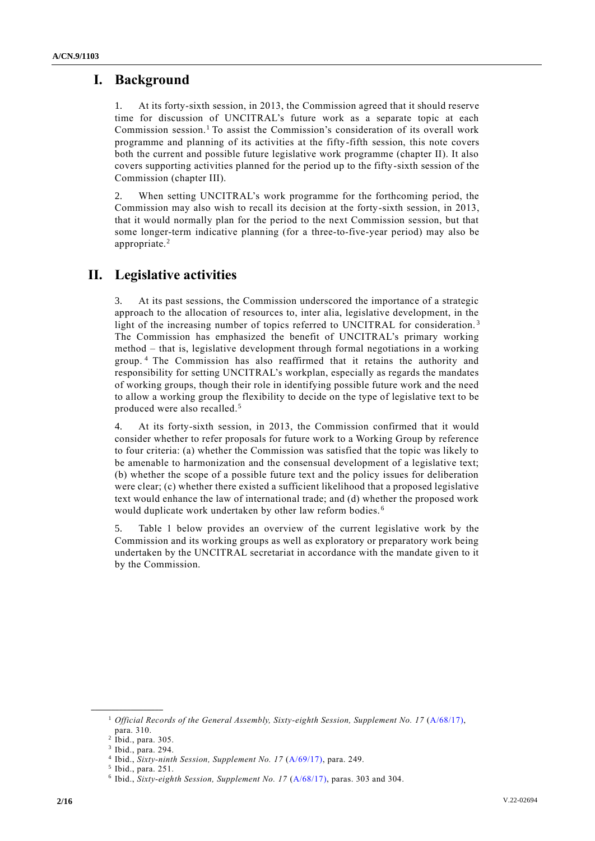## **I. Background**

1. At its forty-sixth session, in 2013, the Commission agreed that it should reserve time for discussion of UNCITRAL's future work as a separate topic at each Commission session.<sup>1</sup> To assist the Commission's consideration of its overall work programme and planning of its activities at the fifty-fifth session, this note covers both the current and possible future legislative work programme (chapter II). It also covers supporting activities planned for the period up to the fifty-sixth session of the Commission (chapter III).

2. When setting UNCITRAL's work programme for the forthcoming period, the Commission may also wish to recall its decision at the forty-sixth session, in 2013, that it would normally plan for the period to the next Commission session, but that some longer-term indicative planning (for a three-to-five-year period) may also be appropriate.<sup>2</sup>

# **II. Legislative activities**

3. At its past sessions, the Commission underscored the importance of a strategic approach to the allocation of resources to, inter alia, legislative development, in the light of the increasing number of topics referred to UNCITRAL for consideration.<sup>3</sup> The Commission has emphasized the benefit of UNCITRAL's primary working method – that is, legislative development through formal negotiations in a working group. <sup>4</sup> The Commission has also reaffirmed that it retains the authority and responsibility for setting UNCITRAL's workplan, especially as regards the mandates of working groups, though their role in identifying possible future work and the need to allow a working group the flexibility to decide on the type of legislative text to be produced were also recalled.<sup>5</sup>

4. At its forty-sixth session, in 2013, the Commission confirmed that it would consider whether to refer proposals for future work to a Working Group by reference to four criteria: (a) whether the Commission was satisfied that the topic was likely to be amenable to harmonization and the consensual development of a legislative text; (b) whether the scope of a possible future text and the policy issues for deliberation were clear; (c) whether there existed a sufficient likelihood that a proposed legislative text would enhance the law of international trade; and (d) whether the proposed work would duplicate work undertaken by other law reform bodies. <sup>6</sup>

5. Table 1 below provides an overview of the current legislative work by the Commission and its working groups as well as exploratory or preparatory work being undertaken by the UNCITRAL secretariat in accordance with the mandate given to it by the Commission.

<sup>&</sup>lt;sup>1</sup> *Official Records of the General Assembly, Sixty-eighth Session, Supplement No. 17 [\(A/68/17\)](http://undocs.org/A/68/17),* para. 310.

<sup>2</sup> Ibid., para. 305.

<sup>3</sup> Ibid., para. 294.

<sup>4</sup> Ibid., *Sixty-ninth Session, Supplement No. 17* [\(A/69/17\)](http://undocs.org/A/69/17), para. 249.

<sup>5</sup> Ibid., para. 251.

<sup>&</sup>lt;sup>6</sup> Ibid., *Sixty-eighth Session, Supplement No. 17* [\(A/68/17\)](http://undocs.org/A/68/17), paras. 303 and 304.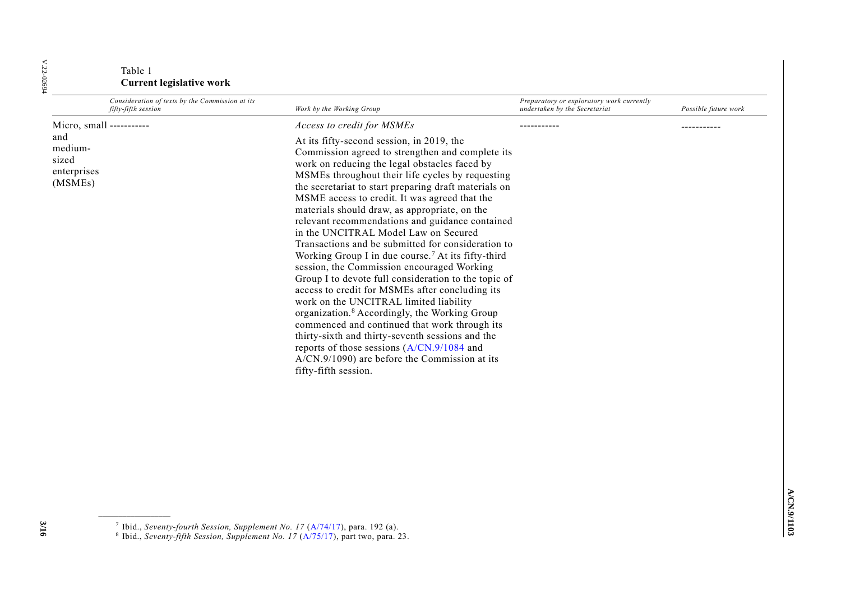### Table 1 **Current legislative work**

| Consideration of texts by the Commission at its<br>fifty-fifth session        | Work by the Working Group                                                                                                                                                                                                                                                                                                                                                                                                                                                                                                                                                                                                                                                                                                                                                                                                                                                                                                                                                                                                                                                                                     | Preparatory or exploratory work currently<br>undertaken by the Secretariat | Possible future work |
|-------------------------------------------------------------------------------|---------------------------------------------------------------------------------------------------------------------------------------------------------------------------------------------------------------------------------------------------------------------------------------------------------------------------------------------------------------------------------------------------------------------------------------------------------------------------------------------------------------------------------------------------------------------------------------------------------------------------------------------------------------------------------------------------------------------------------------------------------------------------------------------------------------------------------------------------------------------------------------------------------------------------------------------------------------------------------------------------------------------------------------------------------------------------------------------------------------|----------------------------------------------------------------------------|----------------------|
| Micro, small -----------<br>and<br>medium-<br>sized<br>enterprises<br>(MSMEs) | Access to credit for MSMEs<br>At its fifty-second session, in 2019, the<br>Commission agreed to strengthen and complete its<br>work on reducing the legal obstacles faced by<br>MSMEs throughout their life cycles by requesting<br>the secretariat to start preparing draft materials on<br>MSME access to credit. It was agreed that the<br>materials should draw, as appropriate, on the<br>relevant recommendations and guidance contained<br>in the UNCITRAL Model Law on Secured<br>Transactions and be submitted for consideration to<br>Working Group I in due course. <sup>7</sup> At its fifty-third<br>session, the Commission encouraged Working<br>Group I to devote full consideration to the topic of<br>access to credit for MSMEs after concluding its<br>work on the UNCITRAL limited liability<br>organization. <sup>8</sup> Accordingly, the Working Group<br>commenced and continued that work through its<br>thirty-sixth and thirty-seventh sessions and the<br>reports of those sessions (A/CN.9/1084 and<br>$A/CN.9/1090$ ) are before the Commission at its<br>fifty-fifth session. |                                                                            | .                    |

**3/16**

<sup>7</sup> Ibid., *Seventy-fourth Session, Supplement No. 17* [\(A/74/17\)](http://undocs.org/A/74/17), para. 192 (a). 8 Ibid., *Seventy-fifth Session, Supplement No. 17* [\(A/75/17\)](http://undocs.org/A/75/17), part two, para. 23.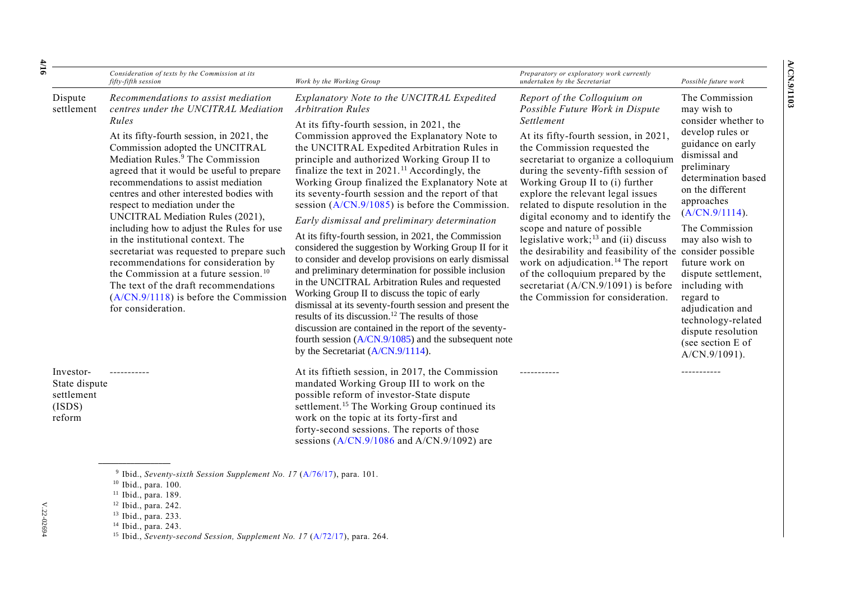|                                                              | Consideration of texts by the Commission at its<br>fifty-fifth session                                                                                                                                                                                                                                                                                                                                                                                                                                                                                                                                                                                                                                                                                            | Work by the Working Group                                                                                                                                                                                                                                                                                                                                                                                                                                                                                                                                                                                                                                                                                                                                                                                                                                                                                                                                                                                                                                                                                                                                                  | Preparatory or exploratory work currently<br>undertaken by the Secretariat                                                                                                                                                                                                                                                                                                                                                                                                                                                                                                                                                                                                              | Possible future work                                                                                                                                                                                                                                                                                                                                                                                                                                 |
|--------------------------------------------------------------|-------------------------------------------------------------------------------------------------------------------------------------------------------------------------------------------------------------------------------------------------------------------------------------------------------------------------------------------------------------------------------------------------------------------------------------------------------------------------------------------------------------------------------------------------------------------------------------------------------------------------------------------------------------------------------------------------------------------------------------------------------------------|----------------------------------------------------------------------------------------------------------------------------------------------------------------------------------------------------------------------------------------------------------------------------------------------------------------------------------------------------------------------------------------------------------------------------------------------------------------------------------------------------------------------------------------------------------------------------------------------------------------------------------------------------------------------------------------------------------------------------------------------------------------------------------------------------------------------------------------------------------------------------------------------------------------------------------------------------------------------------------------------------------------------------------------------------------------------------------------------------------------------------------------------------------------------------|-----------------------------------------------------------------------------------------------------------------------------------------------------------------------------------------------------------------------------------------------------------------------------------------------------------------------------------------------------------------------------------------------------------------------------------------------------------------------------------------------------------------------------------------------------------------------------------------------------------------------------------------------------------------------------------------|------------------------------------------------------------------------------------------------------------------------------------------------------------------------------------------------------------------------------------------------------------------------------------------------------------------------------------------------------------------------------------------------------------------------------------------------------|
| Dispute<br>settlement                                        | Recommendations to assist mediation<br>centres under the UNCITRAL Mediation<br>Rules<br>At its fifty-fourth session, in 2021, the<br>Commission adopted the UNCITRAL<br>Mediation Rules. <sup>9</sup> The Commission<br>agreed that it would be useful to prepare<br>recommendations to assist mediation<br>centres and other interested bodies with<br>respect to mediation under the<br>UNCITRAL Mediation Rules (2021),<br>including how to adjust the Rules for use<br>in the institutional context. The<br>secretariat was requested to prepare such<br>recommendations for consideration by<br>the Commission at a future session. <sup>10</sup><br>The text of the draft recommendations<br>$(A/CN.9/1118)$ is before the Commission<br>for consideration. | Explanatory Note to the UNCITRAL Expedited<br><b>Arbitration Rules</b><br>At its fifty-fourth session, in 2021, the<br>Commission approved the Explanatory Note to<br>the UNCITRAL Expedited Arbitration Rules in<br>principle and authorized Working Group II to<br>finalize the text in $2021$ . <sup>11</sup> Accordingly, the<br>Working Group finalized the Explanatory Note at<br>its seventy-fourth session and the report of that<br>session $(A/CN.9/1085)$ is before the Commission.<br>Early dismissal and preliminary determination<br>At its fifty-fourth session, in 2021, the Commission<br>considered the suggestion by Working Group II for it<br>to consider and develop provisions on early dismissal<br>and preliminary determination for possible inclusion<br>in the UNCITRAL Arbitration Rules and requested<br>Working Group II to discuss the topic of early<br>dismissal at its seventy-fourth session and present the<br>results of its discussion. <sup>12</sup> The results of those<br>discussion are contained in the report of the seventy-<br>fourth session $(A/CN.9/1085)$ and the subsequent note<br>by the Secretariat (A/CN.9/1114). | Report of the Colloquium on<br>Possible Future Work in Dispute<br>Settlement<br>At its fifty-fourth session, in 2021,<br>the Commission requested the<br>secretariat to organize a colloquium<br>during the seventy-fifth session of<br>Working Group II to (i) further<br>explore the relevant legal issues<br>related to dispute resolution in the<br>digital economy and to identify the<br>scope and nature of possible<br>legislative work; $^{13}$ and (ii) discuss<br>the desirability and feasibility of the<br>work on adjudication. <sup>14</sup> The report<br>of the colloquium prepared by the<br>secretariat (A/CN.9/1091) is before<br>the Commission for consideration. | The Commission<br>may wish to<br>consider whether to<br>develop rules or<br>guidance on early<br>dismissal and<br>preliminary<br>determination based<br>on the different<br>approaches<br>(A/CN.9/1114).<br>The Commission<br>may also wish to<br>consider possible<br>future work on<br>dispute settlement,<br>including with<br>regard to<br>adjudication and<br>technology-related<br>dispute resolution<br>(see section E of<br>$A/CN.9/1091$ ). |
| Investor-<br>State dispute<br>settlement<br>(ISDS)<br>reform |                                                                                                                                                                                                                                                                                                                                                                                                                                                                                                                                                                                                                                                                                                                                                                   | At its fiftieth session, in 2017, the Commission<br>mandated Working Group III to work on the<br>possible reform of investor-State dispute<br>settlement. <sup>15</sup> The Working Group continued its<br>work on the topic at its forty-first and<br>forty-second sessions. The reports of those<br>sessions $(A/CN.9/1086$ and $A/CN.9/1092)$ are                                                                                                                                                                                                                                                                                                                                                                                                                                                                                                                                                                                                                                                                                                                                                                                                                       |                                                                                                                                                                                                                                                                                                                                                                                                                                                                                                                                                                                                                                                                                         |                                                                                                                                                                                                                                                                                                                                                                                                                                                      |

<sup>9</sup> Ibid., *Seventy-sixth Session Supplement No. 17* [\(A/76/17\)](https://uncitral.un.org/sites/uncitral.un.org/files/report_54th.pdf), para. 101.

- <sup>11</sup> Ibid., para. 189.
- <sup>12</sup> Ibid., para. 242.
- <sup>13</sup> Ibid., para. 233.
- <sup>14</sup> Ibid., para. 243.

V.22-02694

 $V.22-02694$ 

<sup>10</sup> Ibid., para. 100.

<sup>&</sup>lt;sup>15</sup> Ibid., *Seventy-second Session, Supplement No. 17* [\(A/72/17\)](http://undocs.org/A/72/17), para. 264.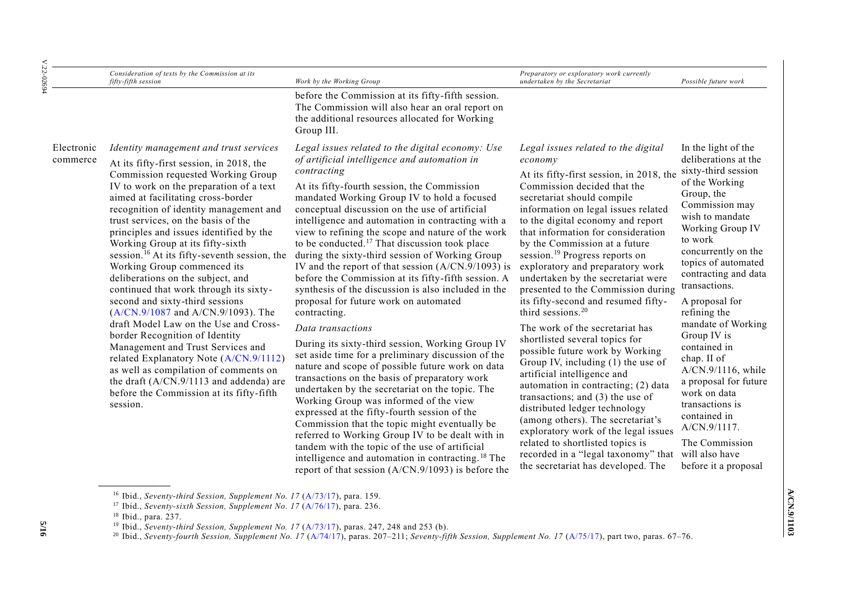| $V.22 - 02694$         | Consideration of texts by the Commission at its<br>fifty-fifth session                                                                                                                                                                                                                                                                                                                                                                                                                                                                                                                                                                                                                                                                                                                                                                                                                                                             | Work by the Working Group                                                                                                                                                                                                                                                                                                                                                                                                                                                                                                                                                                                                                                                                                                                                                                                                                                                                                                                                                                                                                                                                                                                                                                                                                                                                                                                                                                 | Preparatory or exploratory work currently<br>undertaken by the Secretariat                                                                                                                                                                                                                                                                                                                                                                                                                                                                                                                                                                                                                                                                                                                                                                                                                                                                                                                                                                               | Possible future work                                                                                                                                                                                                                                                                                                                                                                                                                                                                                                            |
|------------------------|------------------------------------------------------------------------------------------------------------------------------------------------------------------------------------------------------------------------------------------------------------------------------------------------------------------------------------------------------------------------------------------------------------------------------------------------------------------------------------------------------------------------------------------------------------------------------------------------------------------------------------------------------------------------------------------------------------------------------------------------------------------------------------------------------------------------------------------------------------------------------------------------------------------------------------|-------------------------------------------------------------------------------------------------------------------------------------------------------------------------------------------------------------------------------------------------------------------------------------------------------------------------------------------------------------------------------------------------------------------------------------------------------------------------------------------------------------------------------------------------------------------------------------------------------------------------------------------------------------------------------------------------------------------------------------------------------------------------------------------------------------------------------------------------------------------------------------------------------------------------------------------------------------------------------------------------------------------------------------------------------------------------------------------------------------------------------------------------------------------------------------------------------------------------------------------------------------------------------------------------------------------------------------------------------------------------------------------|----------------------------------------------------------------------------------------------------------------------------------------------------------------------------------------------------------------------------------------------------------------------------------------------------------------------------------------------------------------------------------------------------------------------------------------------------------------------------------------------------------------------------------------------------------------------------------------------------------------------------------------------------------------------------------------------------------------------------------------------------------------------------------------------------------------------------------------------------------------------------------------------------------------------------------------------------------------------------------------------------------------------------------------------------------|---------------------------------------------------------------------------------------------------------------------------------------------------------------------------------------------------------------------------------------------------------------------------------------------------------------------------------------------------------------------------------------------------------------------------------------------------------------------------------------------------------------------------------|
|                        |                                                                                                                                                                                                                                                                                                                                                                                                                                                                                                                                                                                                                                                                                                                                                                                                                                                                                                                                    | before the Commission at its fifty-fifth session.<br>The Commission will also hear an oral report on<br>the additional resources allocated for Working<br>Group III.                                                                                                                                                                                                                                                                                                                                                                                                                                                                                                                                                                                                                                                                                                                                                                                                                                                                                                                                                                                                                                                                                                                                                                                                                      |                                                                                                                                                                                                                                                                                                                                                                                                                                                                                                                                                                                                                                                                                                                                                                                                                                                                                                                                                                                                                                                          |                                                                                                                                                                                                                                                                                                                                                                                                                                                                                                                                 |
| Electronic<br>commerce | Identity management and trust services<br>At its fifty-first session, in 2018, the<br>Commission requested Working Group<br>IV to work on the preparation of a text<br>aimed at facilitating cross-border<br>recognition of identity management and<br>trust services, on the basis of the<br>principles and issues identified by the<br>Working Group at its fifty-sixth<br>session. <sup>16</sup> At its fifty-seventh session, the<br>Working Group commenced its<br>deliberations on the subject, and<br>continued that work through its sixty-<br>second and sixty-third sessions<br>(A/CN.9/1087 and A/CN.9/1093). The<br>draft Model Law on the Use and Cross-<br>border Recognition of Identity<br>Management and Trust Services and<br>related Explanatory Note (A/CN.9/1112)<br>as well as compilation of comments on<br>the draft (A/CN.9/1113 and addenda) are<br>before the Commission at its fifty-fifth<br>session. | Legal issues related to the digital economy: Use<br>of artificial intelligence and automation in<br>contracting<br>At its fifty-fourth session, the Commission<br>mandated Working Group IV to hold a focused<br>conceptual discussion on the use of artificial<br>intelligence and automation in contracting with a<br>view to refining the scope and nature of the work<br>to be conducted. <sup>17</sup> That discussion took place<br>during the sixty-third session of Working Group<br>IV and the report of that session $(A/CN.9/1093)$ is<br>before the Commission at its fifty-fifth session. A<br>synthesis of the discussion is also included in the<br>proposal for future work on automated<br>contracting.<br>Data transactions<br>During its sixty-third session, Working Group IV<br>set aside time for a preliminary discussion of the<br>nature and scope of possible future work on data<br>transactions on the basis of preparatory work<br>undertaken by the secretariat on the topic. The<br>Working Group was informed of the view<br>expressed at the fifty-fourth session of the<br>Commission that the topic might eventually be<br>referred to Working Group IV to be dealt with in<br>tandem with the topic of the use of artificial<br>intelligence and automation in contracting. <sup>18</sup> The<br>report of that session $(A/CN.9/1093)$ is before the | Legal issues related to the digital<br>economy<br>At its fifty-first session, in 2018, the<br>Commission decided that the<br>secretariat should compile<br>information on legal issues related<br>to the digital economy and report<br>that information for consideration<br>by the Commission at a future<br>session. <sup>19</sup> Progress reports on<br>exploratory and preparatory work<br>undertaken by the secretariat were<br>presented to the Commission during<br>its fifty-second and resumed fifty-<br>third sessions. <sup>20</sup><br>The work of the secretariat has<br>shortlisted several topics for<br>possible future work by Working<br>Group IV, including (1) the use of<br>artificial intelligence and<br>automation in contracting; (2) data<br>transactions; and $(3)$ the use of<br>distributed ledger technology<br>(among others). The secretariat's<br>exploratory work of the legal issues<br>related to shortlisted topics is<br>recorded in a "legal taxonomy" that will also have<br>the secretariat has developed. The | In the light of the<br>deliberations at the<br>sixty-third session<br>of the Working<br>Group, the<br>Commission may<br>wish to mandate<br>Working Group IV<br>to work<br>concurrently on the<br>topics of automated<br>contracting and data<br>transactions.<br>A proposal for<br>refining the<br>mandate of Working<br>Group IV is<br>contained in<br>chap. II of<br>A/CN.9/1116, while<br>a proposal for future<br>work on data<br>transactions is<br>contained in<br>A/CN.9/1117.<br>The Commission<br>before it a proposal |

<sup>&</sup>lt;sup>16</sup> Ibid., *Seventy-third Session, Supplement No. 17* [\(A/73/17\)](http://undocs.org/A/73/17), para. 159.

**5/16**

<sup>17</sup> Ibid., *Seventy-sixth Session, Supplement No. 17* [\(A/76/17\)](http://undocs.org/A/76/17), para. 236.

<sup>18</sup> Ibid., para. 237.

<sup>&</sup>lt;sup>19</sup> Ibid., *Seventy-third Session, Supplement No. 17* [\(A/73/17\)](http://undocs.org/A/73/17), paras. 247, 248 and 253 (b).

<sup>20</sup> Ibid., *Seventy-fourth Session, Supplement No. 17* [\(A/74/17\)](http://undocs.org/A/74/17), paras. 207–211; *Seventy-fifth Session, Supplement No. 17* [\(A/75/17\)](http://undocs.org/A/75/17), part two, paras. 67–76.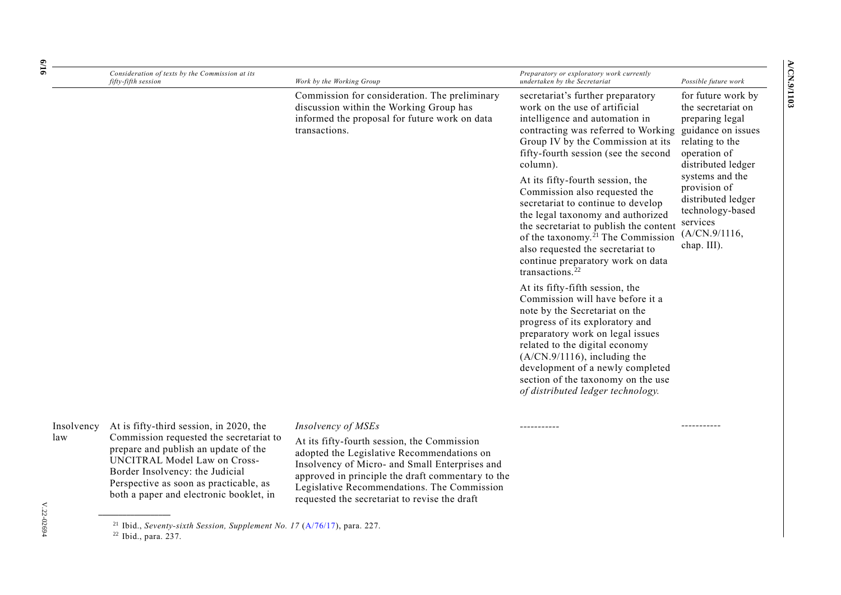| ŕ, |  |
|----|--|

| $\frac{6}{16}$    | Consideration of texts by the Commission at its<br>fifty-fifth session                                                                                                                                                                         | Work by the Working Group                                                                                                                                                                                                                                             | Preparatory or exploratory work currently<br>undertaken by the Secretariat                                                                                                                                                                                                                                                                                       | Possible future work                                                                                                                       |
|-------------------|------------------------------------------------------------------------------------------------------------------------------------------------------------------------------------------------------------------------------------------------|-----------------------------------------------------------------------------------------------------------------------------------------------------------------------------------------------------------------------------------------------------------------------|------------------------------------------------------------------------------------------------------------------------------------------------------------------------------------------------------------------------------------------------------------------------------------------------------------------------------------------------------------------|--------------------------------------------------------------------------------------------------------------------------------------------|
|                   |                                                                                                                                                                                                                                                | Commission for consideration. The preliminary<br>discussion within the Working Group has<br>informed the proposal for future work on data<br>transactions.                                                                                                            | secretariat's further preparatory<br>work on the use of artificial<br>intelligence and automation in<br>contracting was referred to Working<br>Group IV by the Commission at its<br>fifty-fourth session (see the second<br>column).                                                                                                                             | for future work by<br>the secretariat on<br>preparing legal<br>guidance on issues<br>relating to the<br>operation of<br>distributed ledger |
|                   |                                                                                                                                                                                                                                                |                                                                                                                                                                                                                                                                       | At its fifty-fourth session, the<br>Commission also requested the<br>secretariat to continue to develop<br>the legal taxonomy and authorized<br>the secretariat to publish the content<br>of the taxonomy. <sup>21</sup> The Commission<br>also requested the secretariat to<br>continue preparatory work on data<br>transactions. <sup>22</sup>                 | systems and the<br>provision of<br>distributed ledger<br>technology-based<br>services<br>(A/CN.9/1116,<br>chap. III).                      |
|                   |                                                                                                                                                                                                                                                |                                                                                                                                                                                                                                                                       | At its fifty-fifth session, the<br>Commission will have before it a<br>note by the Secretariat on the<br>progress of its exploratory and<br>preparatory work on legal issues<br>related to the digital economy<br>$(A/CN.9/1116)$ , including the<br>development of a newly completed<br>section of the taxonomy on the use<br>of distributed ledger technology. |                                                                                                                                            |
| Insolvency<br>law | At is fifty-third session, in 2020, the<br>Commission requested the secretariat to<br>prepare and publish an update of the<br><b>UNCITRAL Model Law on Cross-</b><br>Border Insolvency: the Judicial<br>Perspective as soon as practicable, as | Insolvency of MSEs<br>At its fifty-fourth session, the Commission<br>adopted the Legislative Recommendations on<br>Insolvency of Micro- and Small Enterprises and<br>approved in principle the draft commentary to the<br>Legislative Recommendations. The Commission |                                                                                                                                                                                                                                                                                                                                                                  | ----------                                                                                                                                 |

requested the secretariat to revise the draft

**\_\_\_\_\_\_\_\_\_\_\_\_\_\_\_\_\_\_**

both a paper and electronic booklet, in

 $V.22-02694$ V.22-02694

<sup>21</sup> Ibid., *Seventy-sixth Session, Supplement No. 17* [\(A/76/17\)](http://undocs.org/A/76/17), para. 227.

<sup>22</sup> Ibid., para. 237.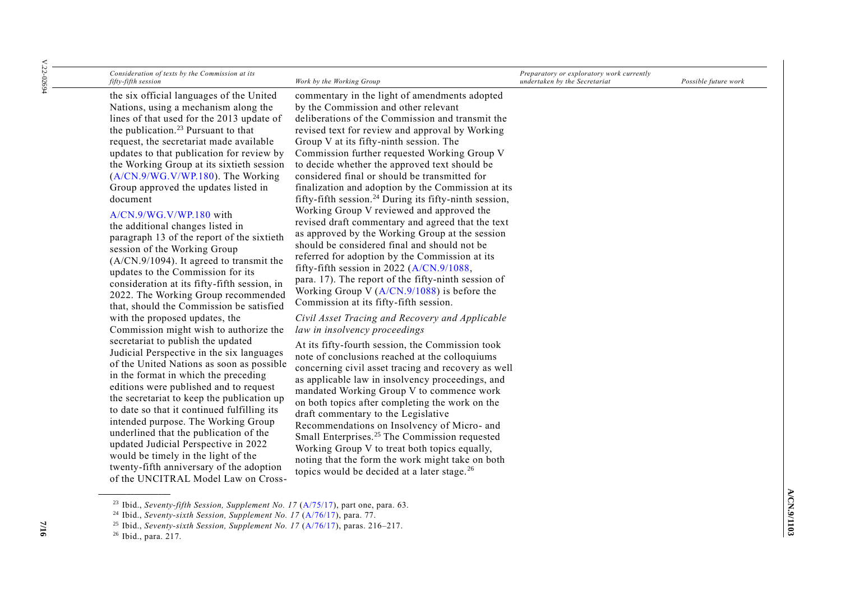| $V.22 - 02694$ | Consideration of texts by the Commission at its<br>fifty-fifth session                                                                                                                                                                                                                                                                                                                                                                                                                                                                                                                                                                                                                                                                                                          | Work by the Working Group                                                                                                                                                                                                                                                                                                                                                                                                                                                                                                                                                                                                                                                                                                                                                                                                                                                                                                                                                   | Preparatory or exploratory work currently<br>undertaken by the Secretariat | Possible future work |
|----------------|---------------------------------------------------------------------------------------------------------------------------------------------------------------------------------------------------------------------------------------------------------------------------------------------------------------------------------------------------------------------------------------------------------------------------------------------------------------------------------------------------------------------------------------------------------------------------------------------------------------------------------------------------------------------------------------------------------------------------------------------------------------------------------|-----------------------------------------------------------------------------------------------------------------------------------------------------------------------------------------------------------------------------------------------------------------------------------------------------------------------------------------------------------------------------------------------------------------------------------------------------------------------------------------------------------------------------------------------------------------------------------------------------------------------------------------------------------------------------------------------------------------------------------------------------------------------------------------------------------------------------------------------------------------------------------------------------------------------------------------------------------------------------|----------------------------------------------------------------------------|----------------------|
|                | the six official languages of the United<br>Nations, using a mechanism along the<br>lines of that used for the 2013 update of<br>the publication. <sup>23</sup> Pursuant to that<br>request, the secretariat made available<br>updates to that publication for review by<br>the Working Group at its sixtieth session<br>(A/CN.9/WG.V/WP.180). The Working<br>Group approved the updates listed in<br>document<br>A/CN.9/WG.V/WP.180 with<br>the additional changes listed in<br>paragraph 13 of the report of the sixtieth<br>session of the Working Group<br>(A/CN.9/1094). It agreed to transmit the<br>updates to the Commission for its<br>consideration at its fifty-fifth session, in<br>2022. The Working Group recommended<br>that, should the Commission be satisfied | commentary in the light of amendments adopted<br>by the Commission and other relevant<br>deliberations of the Commission and transmit the<br>revised text for review and approval by Working<br>Group V at its fifty-ninth session. The<br>Commission further requested Working Group V<br>to decide whether the approved text should be<br>considered final or should be transmitted for<br>finalization and adoption by the Commission at its<br>fifty-fifth session. <sup>24</sup> During its fifty-ninth session,<br>Working Group V reviewed and approved the<br>revised draft commentary and agreed that the text<br>as approved by the Working Group at the session<br>should be considered final and should not be<br>referred for adoption by the Commission at its<br>fifty-fifth session in 2022 (A/CN.9/1088,<br>para. 17). The report of the fifty-ninth session of<br>Working Group V $(A/CN.9/1088)$ is before the<br>Commission at its fifty-fifth session. |                                                                            |                      |
|                | with the proposed updates, the<br>Commission might wish to authorize the<br>secretariat to publish the updated<br>Judicial Perspective in the six languages<br>of the United Nations as soon as possible<br>in the format in which the preceding<br>editions were published and to request<br>the secretariat to keep the publication up<br>to date so that it continued fulfilling its<br>intended purpose. The Working Group<br>underlined that the publication of the<br>updated Judicial Perspective in 2022<br>would be timely in the light of the<br>twenty-fifth anniversary of the adoption<br>of the UNCITRAL Model Law on Cross-                                                                                                                                      | Civil Asset Tracing and Recovery and Applicable<br>law in insolvency proceedings<br>At its fifty-fourth session, the Commission took<br>note of conclusions reached at the colloquiums<br>concerning civil asset tracing and recovery as well<br>as applicable law in insolvency proceedings, and<br>mandated Working Group V to commence work<br>on both topics after completing the work on the<br>draft commentary to the Legislative<br>Recommendations on Insolvency of Micro- and<br>Small Enterprises. <sup>25</sup> The Commission requested<br>Working Group V to treat both topics equally,<br>noting that the form the work might take on both<br>topics would be decided at a later stage. <sup>26</sup>                                                                                                                                                                                                                                                        |                                                                            |                      |

<sup>23</sup> Ibid., *Seventy-fifth Session, Supplement No. 17* [\(A/75/17\)](http://undocs.org/A/75/17), part one, para. 63.

**7/16**

<sup>24</sup> Ibid., *Seventy-sixth Session, Supplement No. 17* [\(A/76/17\)](http://undocs.org/A/76/17), para. 77.

<sup>25</sup> Ibid., *Seventy-sixth Session, Supplement No. 17* [\(A/76/17\)](http://undocs.org/A/76/17), paras. 216–217.

<sup>26</sup> Ibid., para. 217.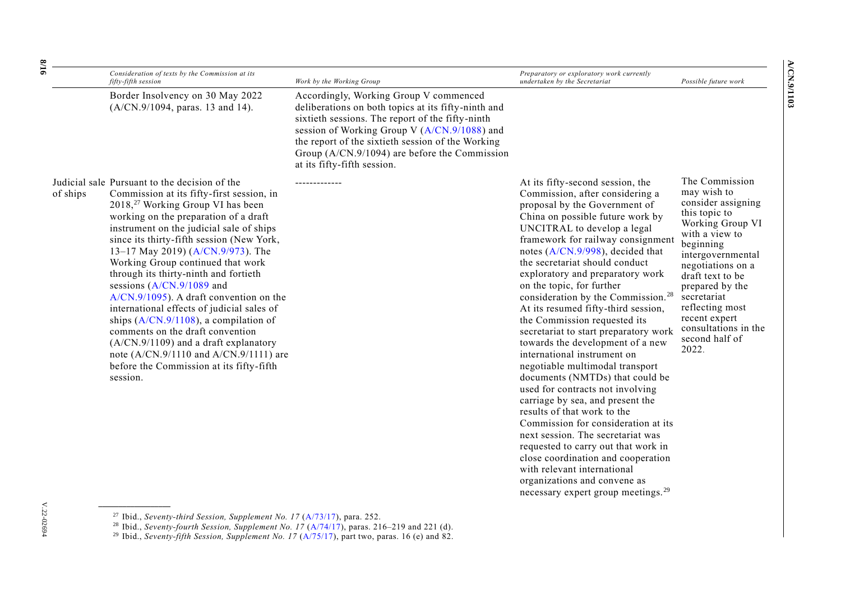| fifty-fifth session                                                                                                                                                                                                                                                                                                                                                                                                                                                                                                                                                                                                                                                                                                                                                | Work by the Working Group                                                                                                                                                                                                                                                                                                              | undertaken by the Secretariat                                                                                                                                                                                                                                                                                                                                                                                                                                                                                                                                                                                                                                                                                                                                                                                                                                                                                                                                                                                                                   |
|--------------------------------------------------------------------------------------------------------------------------------------------------------------------------------------------------------------------------------------------------------------------------------------------------------------------------------------------------------------------------------------------------------------------------------------------------------------------------------------------------------------------------------------------------------------------------------------------------------------------------------------------------------------------------------------------------------------------------------------------------------------------|----------------------------------------------------------------------------------------------------------------------------------------------------------------------------------------------------------------------------------------------------------------------------------------------------------------------------------------|-------------------------------------------------------------------------------------------------------------------------------------------------------------------------------------------------------------------------------------------------------------------------------------------------------------------------------------------------------------------------------------------------------------------------------------------------------------------------------------------------------------------------------------------------------------------------------------------------------------------------------------------------------------------------------------------------------------------------------------------------------------------------------------------------------------------------------------------------------------------------------------------------------------------------------------------------------------------------------------------------------------------------------------------------|
| Border Insolvency on 30 May 2022<br>(A/CN.9/1094, paras. 13 and 14).                                                                                                                                                                                                                                                                                                                                                                                                                                                                                                                                                                                                                                                                                               | Accordingly, Working Group V commenced<br>deliberations on both topics at its fifty-ninth and<br>sixtieth sessions. The report of the fifty-ninth<br>session of Working Group V (A/CN.9/1088) and<br>the report of the sixtieth session of the Working<br>Group (A/CN.9/1094) are before the Commission<br>at its fifty-fifth session. |                                                                                                                                                                                                                                                                                                                                                                                                                                                                                                                                                                                                                                                                                                                                                                                                                                                                                                                                                                                                                                                 |
| Judicial sale Pursuant to the decision of the<br>Commission at its fifty-first session, in<br>of ships<br>2018, <sup>27</sup> Working Group VI has been<br>working on the preparation of a draft<br>instrument on the judicial sale of ships<br>since its thirty-fifth session (New York,<br>13-17 May 2019) (A/CN.9/973). The<br>Working Group continued that work<br>through its thirty-ninth and fortieth<br>sessions $(A/CN.9/1089$ and<br>$A/CN.9/1095$ ). A draft convention on the<br>international effects of judicial sales of<br>ships $(A/CN.9/1108)$ , a compilation of<br>comments on the draft convention<br>(A/CN.9/1109) and a draft explanatory<br>note (A/CN.9/1110 and A/CN.9/1111) are<br>before the Commission at its fifty-fifth<br>session. |                                                                                                                                                                                                                                                                                                                                        | At its fifty-second session, the<br>Commission, after considering a<br>proposal by the Government of<br>China on possible future work by<br>UNCITRAL to develop a legal<br>framework for railway consignment<br>notes (A/CN.9/998), decided that<br>the secretariat should conduct<br>exploratory and preparatory work<br>on the topic, for further<br>consideration by the Commission. <sup>28</sup><br>At its resumed fifty-third session,<br>the Commission requested its<br>secretariat to start preparatory work<br>towards the development of a new<br>international instrument on<br>negotiable multimodal transport<br>documents (NMTDs) that could be<br>used for contracts not involving<br>carriage by sea, and present the<br>results of that work to the<br>Commission for consideration at its<br>next session. The secretariat was<br>requested to carry out that work in<br>close coordination and cooperation<br>with relevant international<br>organizations and convene as<br>necessary expert group meetings. <sup>29</sup> |

<sup>27</sup> Ibid., *Seventy-third Session, Supplement No. 17* [\(A/73/17\)](http://undocs.org/A/73/17), para. 252.

*Consideration of texts by the Commission at its* 

V.22-02694

V.22-02694

 $Possible$  *future work* 

*Preparatory or exploratory work currently* 

<sup>28</sup> Ibid., *Seventy-fourth Session, Supplement No. 17* [\(A/74/17\)](http://undocs.org/A/74/17), paras. 216–219 and 221 (d).

<sup>&</sup>lt;sup>29</sup> Ibid., *Seventy-fifth Session, Supplement No. 17* [\(A/75/17\)](http://undocs.org/A/75/17), part two, paras. 16 (e) and 82.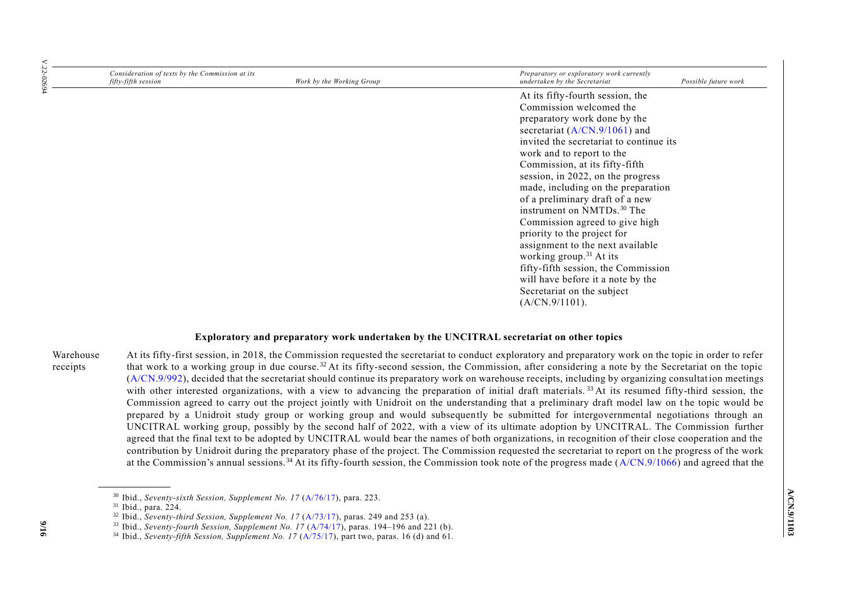| Consideration of texts by the Commission at its<br>fifty-fifth session | Work by the Working Group | Preparatory or exploratory work currently<br>undertaken by the Secretariat | Possible future work |
|------------------------------------------------------------------------|---------------------------|----------------------------------------------------------------------------|----------------------|
|                                                                        |                           | At its fifty-fourth session, the<br>Commission welcomed the                |                      |
|                                                                        |                           | preparatory work done by the                                               |                      |
|                                                                        |                           | secretariat $(A/CN.9/1061)$ and                                            |                      |
|                                                                        |                           | invited the secretariat to continue its                                    |                      |
|                                                                        |                           | work and to report to the                                                  |                      |
|                                                                        |                           | Commission, at its fifty-fifth                                             |                      |
|                                                                        |                           | session, in 2022, on the progress                                          |                      |
|                                                                        |                           | made, including on the preparation                                         |                      |
|                                                                        |                           | of a preliminary draft of a new                                            |                      |
|                                                                        |                           | instrument on NMTDs. <sup>30</sup> The                                     |                      |
|                                                                        |                           | Commission agreed to give high                                             |                      |
|                                                                        |                           | priority to the project for                                                |                      |
|                                                                        |                           | assignment to the next available<br>working group. $31$ At its             |                      |
|                                                                        |                           | fifty-fifth session, the Commission                                        |                      |
|                                                                        |                           | will have before it a note by the                                          |                      |
|                                                                        |                           | Secretariat on the subject                                                 |                      |
|                                                                        |                           | $(A/CN.9/1101)$ .                                                          |                      |

#### **Exploratory and preparatory work undertaken by the UNCITRAL secretariat on other topics**

Warehouse receipts At its fifty-first session, in 2018, the Commission requested the secretariat to conduct exploratory and preparatory work on the topic in order to refer that work to a working group in due course. <sup>32</sup> At its fifty-second session, the Commission, after considering a note by the Secretariat on the topic  $(A/CN.9/992)$ , decided that the secretariat should continue its preparatory work on warehouse receipts, including by organizing consultation meetings with other interested organizations, with a view to advancing the preparation of initial draft materials.<sup>33</sup> At its resumed fifty-third session, the Commission agreed to carry out the project jointly with Unidroit on the understanding that a preliminary draft model law on the topic would be prepared by a Unidroit study group or working group and would subsequently be submitted for intergovernmental negotiations through an UNCITRAL working group, possibly by the second half of 2022, with a view of its ultimate adoption by UNCITRAL. The Commission further agreed that the final text to be adopted by UNCITRAL would bear the names of both organizations, in recognition of their close cooperation and the contribution by Unidroit during the preparatory phase of the project. The Commission requested the secretariat to report on t he progress of the work at the Commission's annual sessions.<sup>34</sup> At its fifty-fourth session, the Commission took note of the progress made  $(A/CN.9/1066)$  and agreed that the

<sup>30</sup> Ibid., *Seventy-sixth Session, Supplement No. 17* [\(A/76/17\)](http://undocs.org/A/76/17), para. 223.

<sup>31</sup> Ibid., para. 224.

<sup>&</sup>lt;sup>32</sup> Ibid., *Seventy-third Session, Supplement No. 17* [\(A/73/17\)](http://undocs.org/A/73/17), paras. 249 and 253 (a).

<sup>33</sup> Ibid., *Seventy-fourth Session, Supplement No. 17* [\(A/74/17\)](http://undocs.org/A/74/17), paras. 194–196 and 221 (b).

<sup>&</sup>lt;sup>34</sup> Ibid., *Seventy-fifth Session, Supplement No. 17*  $(A/75/17)$ , part two, paras. 16 (d) and 61.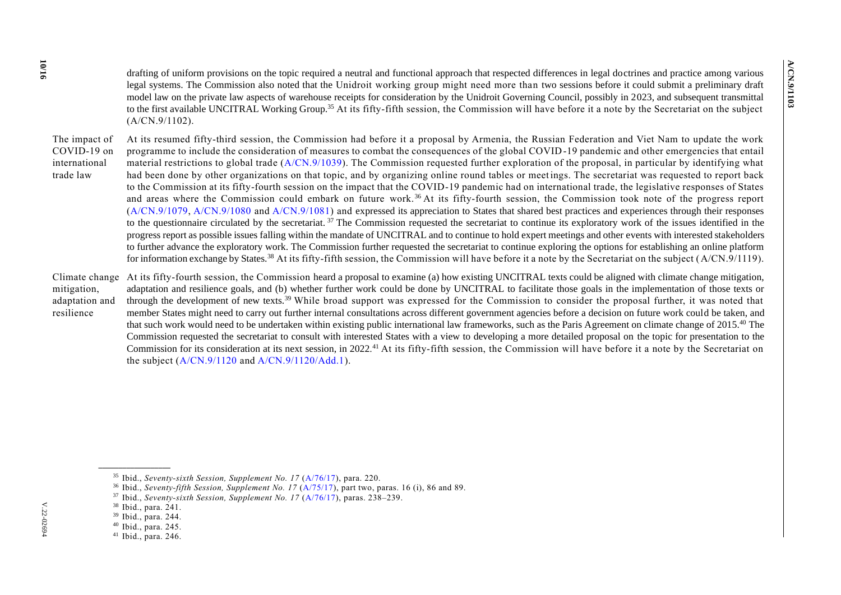drafting of uniform provisions on the topic required a neutral and functional approach that respected differences in legal doctrines and practice among various legal systems. The Commission also noted that the Unidroit working group might need more than two sessions before it could submit a preliminary draft model law on the private law aspects of warehouse receipts for consideration by the Unidroit Governing Council, possibly in 2023, and subsequent transmittal to the first available UNCITRAL Working Group.<sup>35</sup> At its fifty-fifth session, the Commission will have before it a note by the Secretariat on the subject (A/CN.9/1102).

The impact of COVID-19 on international trade law At its resumed fifty-third session, the Commission had before it a proposal by Armenia, the Russian Federation and Viet Nam to update the work programme to include the consideration of measures to combat the consequences of the global COVID-19 pandemic and other emergencies that entail material restrictions to global trade  $(A/CN.9/1039)$ . The Commission requested further exploration of the proposal, in particular by identifying what had been done by other organizations on that topic, and by organizing online round tables or meetings. The secretariat was requested to report back to the Commission at its fifty-fourth session on the impact that the COVID-19 pandemic had on international trade, the legislative responses of States and areas where the Commission could embark on future work.<sup>36</sup> At its fifty-fourth session, the Commission took note of the progress report [\(A/CN.9/1079,](http://undocs.org/A/CN.9/1079) [A/CN.9/1080](http://undocs.org/A/CN.9/1080) and [A/CN.9/1081\)](http://undocs.org/A/CN.9/1081) and expressed its appreciation to States that shared best practices and experiences through their responses to the questionnaire circulated by the secretariat.<sup>37</sup> The Commission requested the secretariat to continue its exploratory work of the issues identified in the progress report as possible issues falling within the mandate of UNCITRAL and to continue to hold expert meetings and other events with interested stakeholders to further advance the exploratory work. The Commission further requested the secretariat to continue exploring the options for establishing an online platform for information exchange by States.<sup>38</sup> At its fifty-fifth session, the Commission will have before it a note by the Secretariat on the subject (A/CN.9/1119).

Climate change At its fifty-fourth session, the Commission heard a proposal to examine (a) how existing UNCITRAL texts could be aligned with climate change mitigation, mitigation, adaptation and resilience adaptation and resilience goals, and (b) whether further work could be done by UNCITRAL to facilitate those goals in the implementation of those texts or through the development of new texts.<sup>39</sup> While broad support was expressed for the Commission to consider the proposal further, it was noted that member States might need to carry out further internal consultations across different government agencies before a decision on future work could be taken, and that such work would need to be undertaken within existing public international law frameworks, such as the Paris Agreement on climate change of 2015.<sup>40</sup> The Commission requested the secretariat to consult with interested States with a view to developing a more detailed proposal on the topic for presentation to the Commission for its consideration at its next session, in 2022.<sup>41</sup> At its fifty-fifth session, the Commission will have before it a note by the Secretariat on the subject  $(A/CN.9/1120$  and  $A/CN.9/1120/Add.1)$ .

<sup>&</sup>lt;sup>35</sup> Ibid., *Seventy-sixth Session, Supplement No. 17* [\(A/76/17\)](http://undocs.org/A/76/17), para. 220.

<sup>&</sup>lt;sup>36</sup> Ibid., *Seventy-fifth Session, Supplement No. 17* [\(A/75/17\)](http://undocs.org/A/75/17), part two, paras. 16 (i), 86 and 89.

<sup>37</sup> Ibid., *Seventy-sixth Session, Supplement No. 17* [\(A/76/17\)](http://undocs.org/A/76/17), paras. 238–239.

<sup>38</sup> Ibid., para. 241.

<sup>39</sup> Ibid., para. 244.

<sup>40</sup> Ibid., para. 245.

<sup>41</sup> Ibid., para. 246.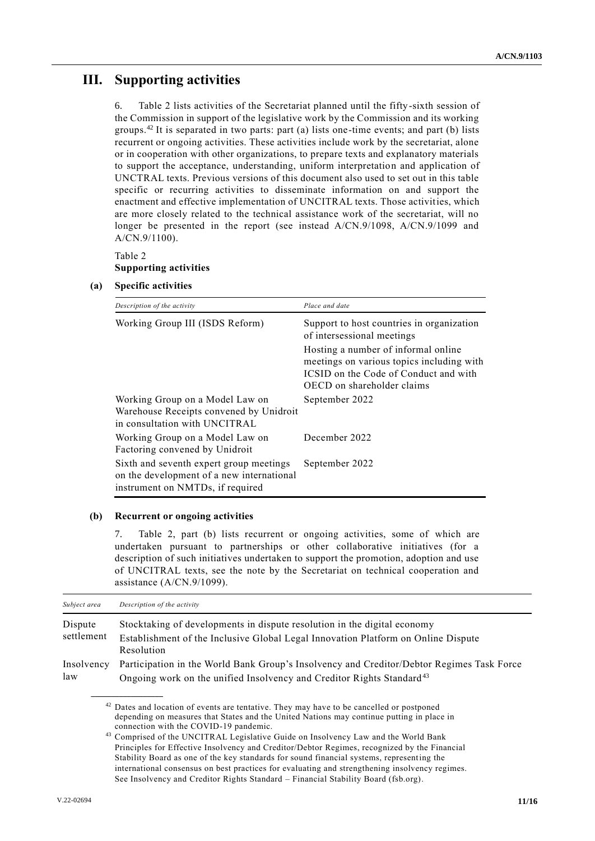# **III. Supporting activities**

6. Table 2 lists activities of the Secretariat planned until the fifty-sixth session of the Commission in support of the legislative work by the Commission and its working groups.<sup>42</sup> It is separated in two parts: part (a) lists one-time events; and part (b) lists recurrent or ongoing activities. These activities include work by the secretariat, alone or in cooperation with other organizations, to prepare texts and explanatory materials to support the acceptance, understanding, uniform interpretation and application of UNCTRAL texts. Previous versions of this document also used to set out in this table specific or recurring activities to disseminate information on and support the enactment and effective implementation of UNCITRAL texts. Those activities, which are more closely related to the technical assistance work of the secretariat, will no longer be presented in the report (see instead A/CN.9/1098, A/CN.9/1099 and A/CN.9/1100).

### Table 2 **Supporting activities**

### **(a) Specific activities**

| Description of the activity                                                                                              | Place and date                                                                                                                                          |
|--------------------------------------------------------------------------------------------------------------------------|---------------------------------------------------------------------------------------------------------------------------------------------------------|
| Working Group III (ISDS Reform)                                                                                          | Support to host countries in organization<br>of intersessional meetings                                                                                 |
|                                                                                                                          | Hosting a number of informal online<br>meetings on various topics including with<br>ICSID on the Code of Conduct and with<br>OECD on shareholder claims |
| Working Group on a Model Law on<br>Warehouse Receipts convened by Unidroit<br>in consultation with UNCITRAL              | September 2022                                                                                                                                          |
| Working Group on a Model Law on<br>Factoring convened by Unidroit                                                        | December 2022                                                                                                                                           |
| Sixth and seventh expert group meetings<br>on the development of a new international<br>instrument on NMTDs, if required | September 2022                                                                                                                                          |

#### **(b) Recurrent or ongoing activities**

7. Table 2, part (b) lists recurrent or ongoing activities, some of which are undertaken pursuant to partnerships or other collaborative initiatives (for a description of such initiatives undertaken to support the promotion, adoption and use of UNCITRAL texts, see the note by the Secretariat on technical cooperation and assistance (A/CN.9/1099).

| Subject area          | Description of the activity                                                                                                                                                    |
|-----------------------|--------------------------------------------------------------------------------------------------------------------------------------------------------------------------------|
| Dispute<br>settlement | Stocktaking of developments in dispute resolution in the digital economy<br>Establishment of the Inclusive Global Legal Innovation Platform on Online Dispute<br>Resolution    |
| Insolvency<br>law     | Participation in the World Bank Group's Insolvency and Creditor/Debtor Regimes Task Force<br>Ongoing work on the unified Insolvency and Creditor Rights Standard <sup>43</sup> |

 $42$  Dates and location of events are tentative. They may have to be cancelled or postponed depending on measures that States and the United Nations may continue putting in place in connection with the COVID-19 pandemic.

<sup>43</sup> Comprised of the UNCITRAL Legislative Guide on Insolvency Law and the World Bank Principles for Effective Insolvency and Creditor/Debtor Regimes, recognized by the Financial Stability Board as one of the key standards for sound financial systems, representing the international consensus on best practices for evaluating and strengthening insolvency regimes. See Insolvency and Creditor Rights Standard – Financial Stability Board (fsb.org).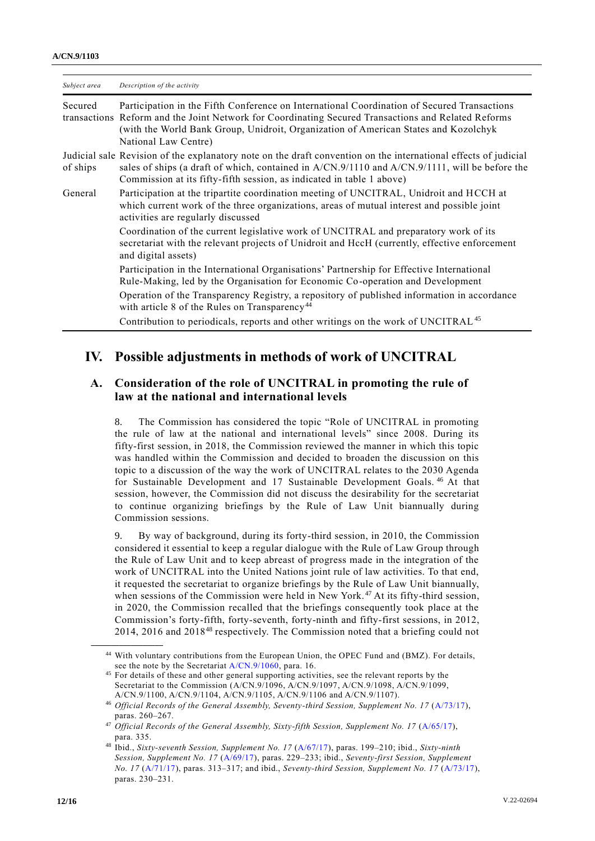| Subject area | Description of the activity                                                                                                                                                                                                                                                                                       |
|--------------|-------------------------------------------------------------------------------------------------------------------------------------------------------------------------------------------------------------------------------------------------------------------------------------------------------------------|
| Secured      | Participation in the Fifth Conference on International Coordination of Secured Transactions<br>transactions Reform and the Joint Network for Coordinating Secured Transactions and Related Reforms<br>(with the World Bank Group, Unidroit, Organization of American States and Kozolchyk<br>National Law Centre) |
| of ships     | Judicial sale Revision of the explanatory note on the draft convention on the international effects of judicial<br>sales of ships (a draft of which, contained in A/CN.9/1110 and A/CN.9/1111, will be before the<br>Commission at its fifty-fifth session, as indicated in table 1 above)                        |
| General      | Participation at the tripartite coordination meeting of UNCITRAL, Unidroit and HCCH at<br>which current work of the three organizations, areas of mutual interest and possible joint<br>activities are regularly discussed                                                                                        |
|              | Coordination of the current legislative work of UNCITRAL and preparatory work of its<br>secretariat with the relevant projects of Unidroit and HccH (currently, effective enforcement<br>and digital assets)                                                                                                      |
|              | Participation in the International Organisations' Partnership for Effective International<br>Rule-Making, led by the Organisation for Economic Co-operation and Development                                                                                                                                       |
|              | Operation of the Transparency Registry, a repository of published information in accordance<br>with article 8 of the Rules on Transparency <sup>44</sup>                                                                                                                                                          |
|              | Contribution to periodicals, reports and other writings on the work of UNCITRAL <sup>45</sup>                                                                                                                                                                                                                     |

## **IV. Possible adjustments in methods of work of UNCITRAL**

## **A. Consideration of the role of UNCITRAL in promoting the rule of law at the national and international levels**

8. The Commission has considered the topic "Role of UNCITRAL in promoting the rule of law at the national and international levels" since 2008. During its fifty-first session, in 2018, the Commission reviewed the manner in which this topic was handled within the Commission and decided to broaden the discussion on this topic to a discussion of the way the work of UNCITRAL relates to the 2030 Agenda for Sustainable Development and 17 Sustainable Development Goals.<sup>46</sup> At that session, however, the Commission did not discuss the desirability for the secretariat to continue organizing briefings by the Rule of Law Unit biannually during Commission sessions.

9. By way of background, during its forty-third session, in 2010, the Commission considered it essential to keep a regular dialogue with the Rule of Law Group through the Rule of Law Unit and to keep abreast of progress made in the integration of the work of UNCITRAL into the United Nations joint rule of law activities. To that end, it requested the secretariat to organize briefings by the Rule of Law Unit biannually, when sessions of the Commission were held in New York.<sup>47</sup> At its fifty-third session, in 2020, the Commission recalled that the briefings consequently took place at the Commission's forty-fifth, forty-seventh, forty-ninth and fifty-first sessions, in 2012, 2014, 2016 and 2018<sup>48</sup> respectively. The Commission noted that a briefing could not

<sup>44</sup> With voluntary contributions from the European Union, the OPEC Fund and (BMZ). For details, see the note by the Secretariat [A/CN.9/1060,](http://undocs.org/A/CN.9/1060) para. 16.

<sup>&</sup>lt;sup>45</sup> For details of these and other general supporting activities, see the relevant reports by the Secretariat to the Commission (A/CN.9/1096, A/CN.9/1097, A/CN.9/1098, A/CN.9/1099, A/CN.9/1100, A/CN.9/1104, A/CN.9/1105, A/CN.9/1106 and A/CN.9/1107).

<sup>&</sup>lt;sup>46</sup> Official Records of the General Assembly, Seventy-third Session, Supplement No. 17 [\(A/73/17\)](http://undocs.org/A/73/17), paras. 260–267.

<sup>&</sup>lt;sup>47</sup> *Official Records of the General Assembly, Sixty-fifth Session, Supplement No. 17 [\(A/65/17\)](http://undocs.org/A/65/17),* para. 335.

<sup>48</sup> Ibid., *Sixty-seventh Session, Supplement No. 17* [\(A/67/17\)](http://undocs.org/A/67/17), paras. 199–210; ibid., *Sixty-ninth Session, Supplement No. 17* [\(A/69/17\)](http://undocs.org/A/69/17), paras. 229–233; ibid., *Seventy-first Session, Supplement No. 17* [\(A/71/17\)](http://undocs.org/A/71/17), paras. 313–317; and ibid., *Seventy-third Session, Supplement No. 17* [\(A/73/17\)](http://undocs.org/A/73/17), paras. 230–231.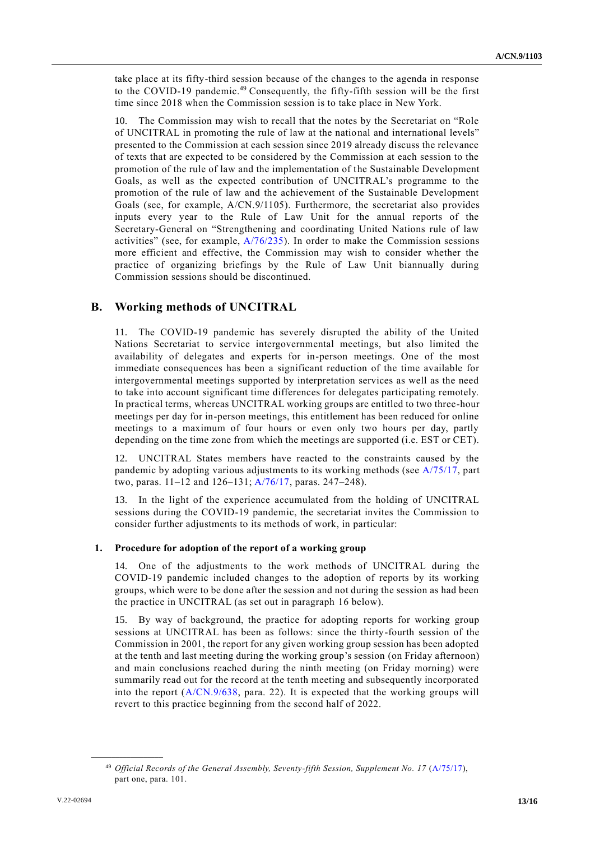take place at its fifty-third session because of the changes to the agenda in response to the COVID-19 pandemic.<sup>49</sup> Consequently, the fifty-fifth session will be the first time since 2018 when the Commission session is to take place in New York.

10. The Commission may wish to recall that the notes by the Secretariat on "Role of UNCITRAL in promoting the rule of law at the national and international levels" presented to the Commission at each session since 2019 already discuss the relevance of texts that are expected to be considered by the Commission at each session to the promotion of the rule of law and the implementation of the Sustainable Development Goals, as well as the expected contribution of UNCITRAL's programme to the promotion of the rule of law and the achievement of the Sustainable Development Goals (see, for example, A/CN.9/1105). Furthermore, the secretariat also provides inputs every year to the Rule of Law Unit for the annual reports of the Secretary-General on "Strengthening and coordinating United Nations rule of law activities" (see, for example,  $A/76/235$ ). In order to make the Commission sessions more efficient and effective, the Commission may wish to consider whether the practice of organizing briefings by the Rule of Law Unit biannually during Commission sessions should be discontinued.

### **B. Working methods of UNCITRAL**

11. The COVID-19 pandemic has severely disrupted the ability of the United Nations Secretariat to service intergovernmental meetings, but also limited the availability of delegates and experts for in-person meetings. One of the most immediate consequences has been a significant reduction of the time available for intergovernmental meetings supported by interpretation services as well as the need to take into account significant time differences for delegates participating remotely. In practical terms, whereas UNCITRAL working groups are entitled to two three-hour meetings per day for in-person meetings, this entitlement has been reduced for online meetings to a maximum of four hours or even only two hours per day, partly depending on the time zone from which the meetings are supported (i.e. EST or CET).

12. UNCITRAL States members have reacted to the constraints caused by the pandemic by adopting various adjustments to its working methods (see [A/75/17,](http://undocs.org/A/75/17) part two, paras. 11–12 and 126–131; [A/76/17,](http://undocs.org/A/76/17) paras. 247–248).

13. In the light of the experience accumulated from the holding of UNCITRAL sessions during the COVID-19 pandemic, the secretariat invites the Commission to consider further adjustments to its methods of work, in particular:

#### **1. Procedure for adoption of the report of a working group**

14. One of the adjustments to the work methods of UNCITRAL during the COVID-19 pandemic included changes to the adoption of reports by its working groups, which were to be done after the session and not during the session as had been the practice in UNCITRAL (as set out in paragraph 16 below).

15. By way of background, the practice for adopting reports for working group sessions at UNCITRAL has been as follows: since the thirty-fourth session of the Commission in 2001, the report for any given working group session has been adopted at the tenth and last meeting during the working group's session (on Friday afternoon) and main conclusions reached during the ninth meeting (on Friday morning) were summarily read out for the record at the tenth meeting and subsequently incorporated into the report  $(A/CN.9/638, \text{ para. } 22)$  $(A/CN.9/638, \text{ para. } 22)$ . It is expected that the working groups will revert to this practice beginning from the second half of 2022.

<sup>&</sup>lt;sup>49</sup> Official Records of the General Assembly, Seventy-fifth Session, Supplement No. 17 [\(A/75/17\)](http://undocs.org/A/75/17), part one, para. 101.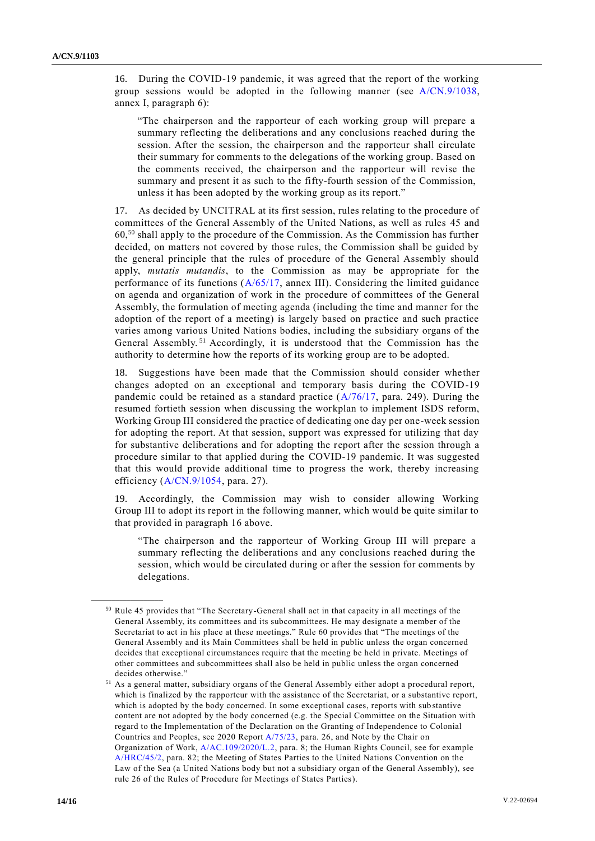16. During the COVID-19 pandemic, it was agreed that the report of the working group sessions would be adopted in the following manner (see [A/CN.9/1038,](https://undocs.org/A/CN.9/1038) annex I, paragraph 6):

"The chairperson and the rapporteur of each working group will prepare a summary reflecting the deliberations and any conclusions reached during the session. After the session, the chairperson and the rapporteur shall circulate their summary for comments to the delegations of the working group. Based on the comments received, the chairperson and the rapporteur will revise the summary and present it as such to the fifty-fourth session of the Commission, unless it has been adopted by the working group as its report."

17. As decided by UNCITRAL at its first session, rules relating to the procedure of committees of the General Assembly of the United Nations, as well as rules 45 and  $60<sub>50</sub>$  shall apply to the procedure of the Commission. As the Commission has further decided, on matters not covered by those rules, the Commission shall be guided by the general principle that the rules of procedure of the General Assembly should apply, *mutatis mutandis*, to the Commission as may be appropriate for the performance of its functions  $(A/65/17$ , annex III). Considering the limited guidance on agenda and organization of work in the procedure of committees of the General Assembly, the formulation of meeting agenda (including the time and manner for the adoption of the report of a meeting) is largely based on practice and such practice varies among various United Nations bodies, including the subsidiary organs of the General Assembly.<sup>51</sup> Accordingly, it is understood that the Commission has the authority to determine how the reports of its working group are to be adopted.

18. Suggestions have been made that the Commission should consider whether changes adopted on an exceptional and temporary basis during the COVID-19 pandemic could be retained as a standard practice  $(A/76/17)$ , para. 249). During the resumed fortieth session when discussing the workplan to implement ISDS reform, Working Group III considered the practice of dedicating one day per one-week session for adopting the report. At that session, support was expressed for utilizing that day for substantive deliberations and for adopting the report after the session through a procedure similar to that applied during the COVID-19 pandemic. It was suggested that this would provide additional time to progress the work, thereby increasing efficiency [\(A/CN.9/1054,](https://undocs.org/A/CN.9/1054) para. 27).

19. Accordingly, the Commission may wish to consider allowing Working Group III to adopt its report in the following manner, which would be quite similar to that provided in paragraph 16 above.

"The chairperson and the rapporteur of Working Group III will prepare a summary reflecting the deliberations and any conclusions reached during the session, which would be circulated during or after the session for comments by delegations.

<sup>50</sup> Rule 45 provides that "The Secretary-General shall act in that capacity in all meetings of the General Assembly, its committees and its subcommittees. He may designate a member of the Secretariat to act in his place at these meetings." Rule 60 provides that "The meetings of the General Assembly and its Main Committees shall be held in public unless the organ concerned decides that exceptional circumstances require that the meeting be held in private. Meetings of other committees and subcommittees shall also be held in public unless the organ concerned decides otherwise."

<sup>51</sup> As a general matter, subsidiary organs of the General Assembly either adopt a procedural report, which is finalized by the rapporteur with the assistance of the Secretariat, or a substantive report, which is adopted by the body concerned. In some exceptional cases, reports with sub stantive content are not adopted by the body concerned (e.g. the Special Committee on the Situation with regard to the Implementation of the Declaration on the Granting of Independence to Colonial Countries and Peoples, see 2020 Report [A/75/23,](https://undocs.org/A/75/23) para. 26, and Note by the Chair on Organization of Work[, A/AC.109/2020/L.2,](https://undocs.org/en/A/AC.109/2020/L.2) para. 8; the Human Rights Council, see for example [A/HRC/45/2,](https://www.ohchr.org/EN/HRBodies/HRC/RegularSessions/Session45/Pages/ListReports.aspx) para. 82; the Meeting of States Parties to the United Nations Convention on the Law of the Sea (a United Nations body but not a subsidiary organ of the General Assembly), see rule 26 of the Rules of Procedure for Meetings of States Parties).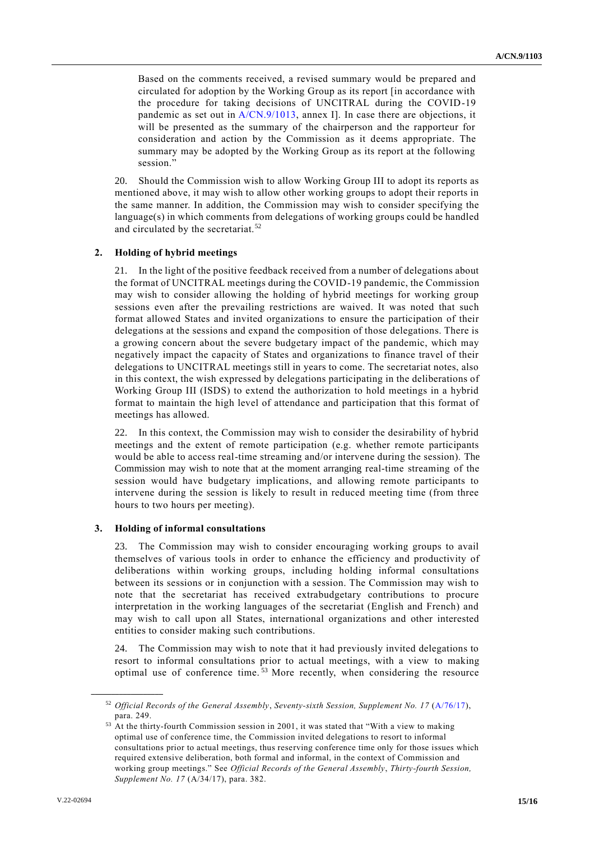Based on the comments received, a revised summary would be prepared and circulated for adoption by the Working Group as its report [in accordance with the procedure for taking decisions of UNCITRAL during the COVID-19 pandemic as set out in [A/CN.9/1013,](https://undocs.org/A/CN.9/1013) annex I]. In case there are objections, it will be presented as the summary of the chairperson and the rapporteur for consideration and action by the Commission as it deems appropriate. The summary may be adopted by the Working Group as its report at the following session.'

20. Should the Commission wish to allow Working Group III to adopt its reports as mentioned above, it may wish to allow other working groups to adopt their reports in the same manner. In addition, the Commission may wish to consider specifying the language(s) in which comments from delegations of working groups could be handled and circulated by the secretariat.<sup>52</sup>

#### **2. Holding of hybrid meetings**

21. In the light of the positive feedback received from a number of delegations about the format of UNCITRAL meetings during the COVID-19 pandemic, the Commission may wish to consider allowing the holding of hybrid meetings for working group sessions even after the prevailing restrictions are waived. It was noted that such format allowed States and invited organizations to ensure the participation of their delegations at the sessions and expand the composition of those delegations. There is a growing concern about the severe budgetary impact of the pandemic, which may negatively impact the capacity of States and organizations to finance travel of their delegations to UNCITRAL meetings still in years to come. The secretariat notes, also in this context, the wish expressed by delegations participating in the deliberations of Working Group III (ISDS) to extend the authorization to hold meetings in a hybrid format to maintain the high level of attendance and participation that this format of meetings has allowed.

22. In this context, the Commission may wish to consider the desirability of hybrid meetings and the extent of remote participation (e.g. whether remote participants would be able to access real-time streaming and/or intervene during the session). The Commission may wish to note that at the moment arranging real-time streaming of the session would have budgetary implications, and allowing remote participants to intervene during the session is likely to result in reduced meeting time (from three hours to two hours per meeting).

#### **3. Holding of informal consultations**

23. The Commission may wish to consider encouraging working groups to avail themselves of various tools in order to enhance the efficiency and productivity of deliberations within working groups, including holding informal consultations between its sessions or in conjunction with a session. The Commission may wish to note that the secretariat has received extrabudgetary contributions to procure interpretation in the working languages of the secretariat (English and French) and may wish to call upon all States, international organizations and other interested entities to consider making such contributions.

24. The Commission may wish to note that it had previously invited delegations to resort to informal consultations prior to actual meetings, with a view to making optimal use of conference time.<sup>53</sup> More recently, when considering the resource

<sup>52</sup> *Official Records of the General Assembly*, *Seventy-sixth Session, Supplement No. 17* [\(A/76/17\)](http://undocs.org/A/76/17), para. 249.

<sup>&</sup>lt;sup>53</sup> At the thirty-fourth Commission session in 2001, it was stated that "With a view to making optimal use of conference time, the Commission invited delegations to resort to informal consultations prior to actual meetings, thus reserving conference time only for those issues which required extensive deliberation, both formal and informal, in the context of Commission and working group meetings." See *Official Records of the General Assembly*, *Thirty-fourth Session, Supplement No. 17* (A/34/17), para. 382.